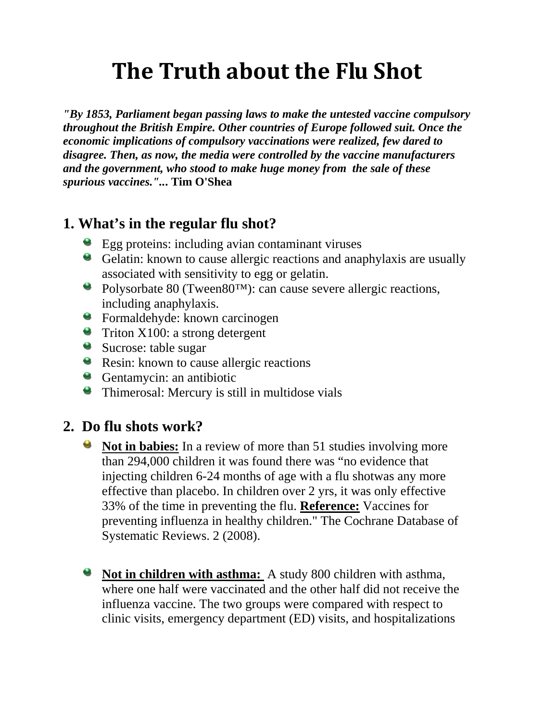# **The Truth about the Flu Shot**

*"By 1853, Parliament began passing laws to make the untested vaccine compulsory throughout the British Empire. Other countries of Europe followed suit. Once the economic implications of compulsory vaccinations were realized, few dared to disagree. Then, as now, the media were controlled by the vaccine manufacturers and the government, who stood to make huge money from the sale of these spurious vaccines."..***. Tim O'Shea**

# **1. What's in the regular flu shot?**

- Egg proteins: including avian contaminant viruses
- Gelatin: known to cause allergic reactions and anaphylaxis are usually associated with sensitivity to egg or gelatin.
- Polysorbate 80 (Tween80™): can cause severe allergic reactions, including anaphylaxis.
- Formaldehyde: known carcinogen
- **Triton X100:** a strong detergent
- Sucrose: table sugar
- **Resin:** known to cause allergic reactions
- Gentamycin: an antibiotic
- Thimerosal: Mercury is still in multidose vials

### **2. Do flu shots work?**

- O. **Not in babies:** In a review of more than 51 studies involving more than 294,000 children it was found there was "no evidence that injecting children 6-24 months of age with a flu shotwas any more effective than placebo. In children over 2 yrs, it was only effective 33% of the time in preventing the flu. **Reference:** Vaccines for preventing influenza in healthy children." The Cochrane Database of Systematic Reviews. 2 (2008).
- **Not in children with asthma:** A study 800 children with asthma, where one half were vaccinated and the other half did not receive the influenza vaccine. The two groups were compared with respect to clinic visits, emergency department (ED) visits, and hospitalizations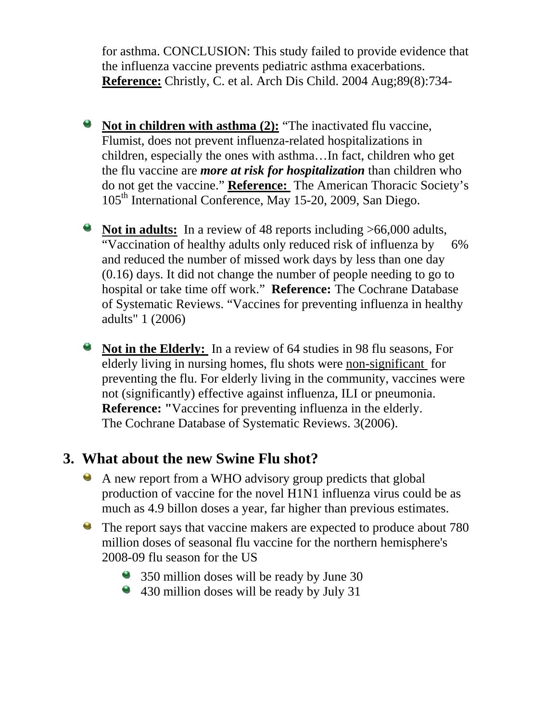for asthma. CONCLUSION: This study failed to provide evidence that the influenza vaccine prevents pediatric asthma exacerbations. **Reference:** Christly, C. et al. Arch Dis Child. 2004 Aug;89(8):734-

- **Not in children with asthma (2):** "The inactivated flu vaccine, Flumist, does not prevent influenza-related hospitalizations in children, especially the ones with asthma…In fact, children who get the flu vaccine are *more at risk for hospitalization* than children who do not get the vaccine." **Reference:** The American Thoracic Society's 105<sup>th</sup> International Conference, May 15-20, 2009, San Diego.
- **Not in adults:** In a review of 48 reports including >66,000 adults, "Vaccination of healthy adults only reduced risk of influenza by 6% and reduced the number of missed work days by less than one day (0.16) days. It did not change the number of people needing to go to hospital or take time off work." **Reference:** The Cochrane Database of Systematic Reviews. "Vaccines for preventing influenza in healthy adults" 1 (2006)
- e. **Not in the Elderly:** In a review of 64 studies in 98 flu seasons, For elderly living in nursing homes, flu shots were non-significant for preventing the flu. For elderly living in the community, vaccines were not (significantly) effective against influenza, ILI or pneumonia.  **Reference: "**Vaccines for preventing influenza in the elderly. The Cochrane Database of Systematic Reviews. 3(2006).

## **3. What about the new Swine Flu shot?**

- A new report from a WHO advisory group predicts that global production of vaccine for the novel H1N1 influenza virus could be as much as 4.9 billon doses a year, far higher than previous estimates.
- $\bullet$ The report says that vaccine makers are expected to produce about 780 million doses of seasonal flu vaccine for the northern hemisphere's 2008-09 flu season for the US
	- <sup>3</sup> 350 million doses will be ready by June 30
	- <sup>4</sup> 430 million doses will be ready by July 31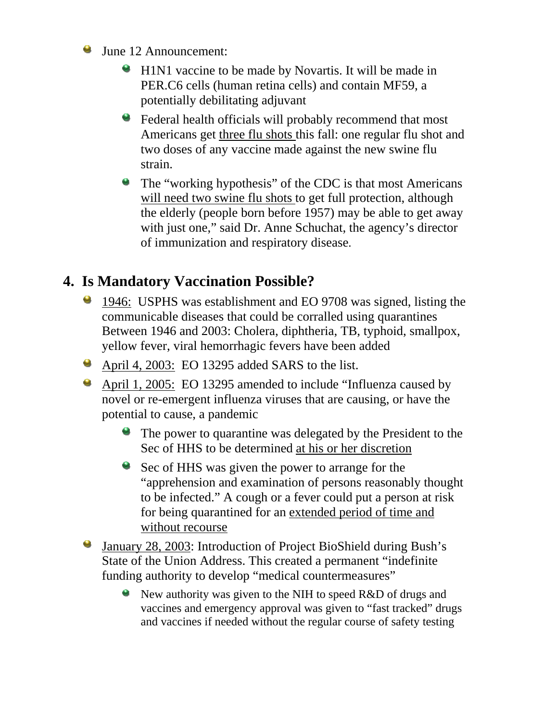- June 12 Announcement:
	- **H1N1** vaccine to be made by Novartis. It will be made in PER.C6 cells (human retina cells) and contain MF59, a potentially debilitating adjuvant
	- Federal health officials will probably recommend that most Americans get three flu shots this fall: one regular flu shot and two doses of any vaccine made against the new swine flu strain.
	- The "working hypothesis" of the CDC is that most Americans will need two swine flu shots to get full protection, although the elderly (people born before 1957) may be able to get away with just one," said Dr. Anne Schuchat, the agency's director of immunization and respiratory disease.

# **4. Is Mandatory Vaccination Possible?**

- 1946: USPHS was establishment and EO 9708 was signed, listing the communicable diseases that could be corralled using quarantines Between 1946 and 2003: Cholera, diphtheria, TB, typhoid, smallpox, yellow fever, viral hemorrhagic fevers have been added
- April 4, 2003: EO 13295 added SARS to the list.
- April 1, 2005: EO 13295 amended to include "Influenza caused by novel or re-emergent influenza viruses that are causing, or have the potential to cause, a pandemic
	- **The power to quarantine was delegated by the President to the** Sec of HHS to be determined at his or her discretion
	- Sec of HHS was given the power to arrange for the "apprehension and examination of persons reasonably thought to be infected." A cough or a fever could put a person at risk for being quarantined for an extended period of time and without recourse
- 9 January 28, 2003: Introduction of Project BioShield during Bush's State of the Union Address. This created a permanent "indefinite funding authority to develop "medical countermeasures"
	- New authority was given to the NIH to speed R&D of drugs and vaccines and emergency approval was given to "fast tracked" drugs and vaccines if needed without the regular course of safety testing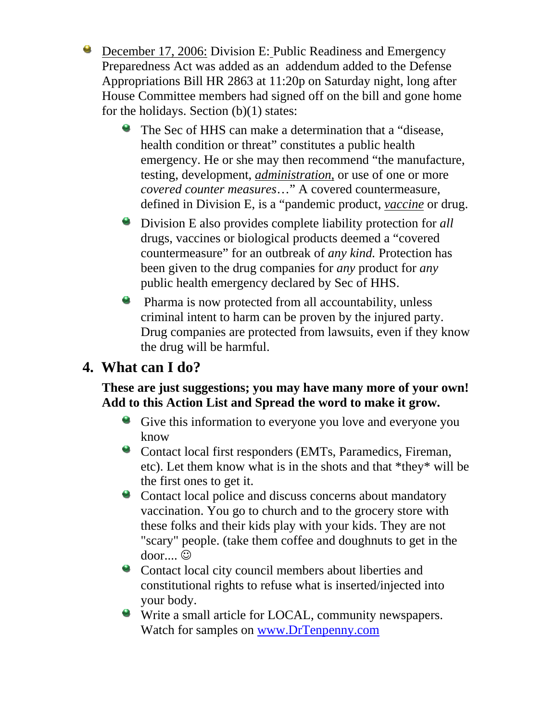**O** December 17, 2006: Division E: Public Readiness and Emergency Preparedness Act was added as an addendum added to the Defense Appropriations Bill HR 2863 at 11:20p on Saturday night, long after House Committee members had signed off on the bill and gone home for the holidays. Section (b)(1) states:

- The Sec of HHS can make a determination that a "disease, health condition or threat" constitutes a public health emergency. He or she may then recommend "the manufacture, testing, development, *administration,* or use of one or more *covered counter measures*…" A covered countermeasure, defined in Division E, is a "pandemic product, *vaccine* or drug.
- Division E also provides complete liability protection for *all* drugs, vaccines or biological products deemed a "covered countermeasure" for an outbreak of *any kind.* Protection has been given to the drug companies for *any* product for *any*  public health emergency declared by Sec of HHS.
- **Pharma is now protected from all accountability, unless** criminal intent to harm can be proven by the injured party. Drug companies are protected from lawsuits, even if they know the drug will be harmful.

## **4. What can I do?**

#### **These are just suggestions; you may have many more of your own! Add to this Action List and Spread the word to make it grow.**

- Give this information to everyone you love and everyone you know
- Contact local first responders (EMTs, Paramedics, Fireman, etc). Let them know what is in the shots and that \*they\* will be the first ones to get it.
- Contact local police and discuss concerns about mandatory vaccination. You go to church and to the grocery store with these folks and their kids play with your kids. They are not "scary" people. (take them coffee and doughnuts to get in the door.... ☺
- Contact local city council members about liberties and constitutional rights to refuse what is inserted/injected into your body.
- Write a small article for LOCAL, community newspapers. Watch for samples on [www.DrTenpenny.com](http://www.drtenpenny.com/)